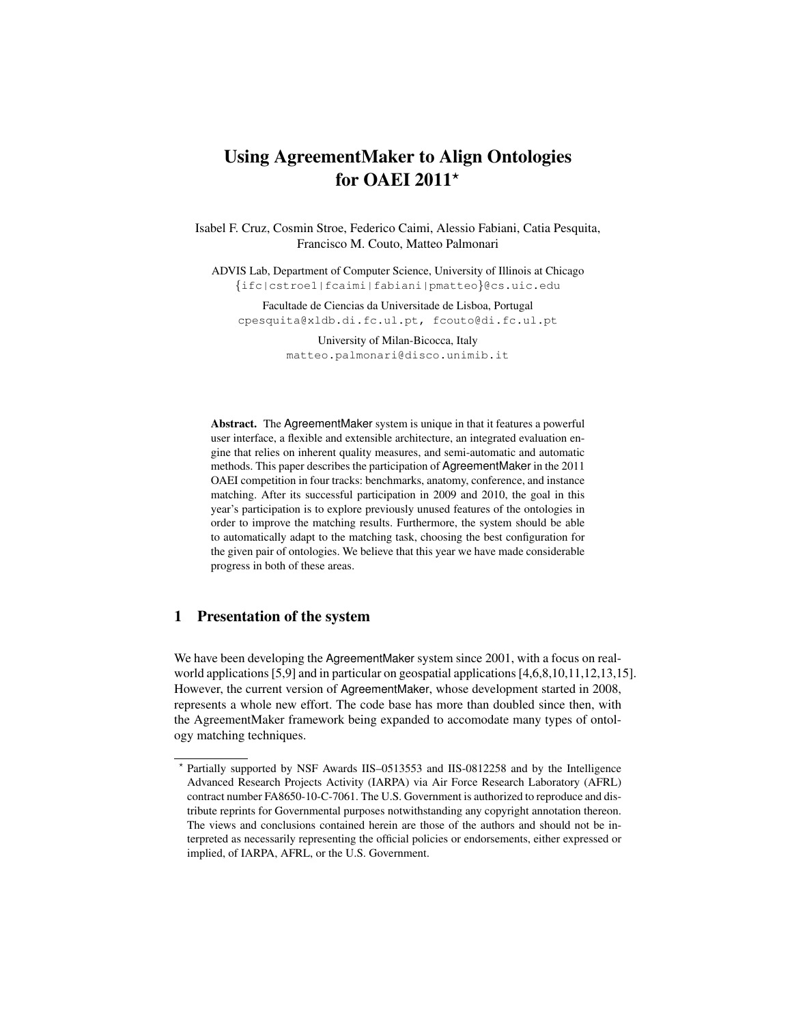# <span id="page-0-0"></span>Using AgreementMaker to Align Ontologies for OAEI 2011 $\star$

Isabel F. Cruz, Cosmin Stroe, Federico Caimi, Alessio Fabiani, Catia Pesquita, Francisco M. Couto, Matteo Palmonari

ADVIS Lab, Department of Computer Science, University of Illinois at Chicago {ifc|cstroe1|fcaimi|fabiani|pmatteo}@cs.uic.edu

Facultade de Ciencias da Universitade de Lisboa, Portugal cpesquita@xldb.di.fc.ul.pt, fcouto@di.fc.ul.pt

> University of Milan-Bicocca, Italy matteo.palmonari@disco.unimib.it

Abstract. The AgreementMaker system is unique in that it features a powerful user interface, a flexible and extensible architecture, an integrated evaluation engine that relies on inherent quality measures, and semi-automatic and automatic methods. This paper describes the participation of AgreementMaker in the 2011 OAEI competition in four tracks: benchmarks, anatomy, conference, and instance matching. After its successful participation in 2009 and 2010, the goal in this year's participation is to explore previously unused features of the ontologies in order to improve the matching results. Furthermore, the system should be able to automatically adapt to the matching task, choosing the best configuration for the given pair of ontologies. We believe that this year we have made considerable progress in both of these areas.

# 1 Presentation of the system

We have been developing the AgreementMaker system since 2001, with a focus on realworld applications [\[5,](#page-7-0)[9\]](#page-7-1) and in particular on geospatial applications [\[4](#page-7-2)[,6](#page-7-3)[,8,](#page-7-4)[10,](#page-7-5)[11,](#page-7-6)[12,](#page-7-7)[13,](#page-7-8)[15\]](#page-7-9). However, the current version of AgreementMaker, whose development started in 2008, represents a whole new effort. The code base has more than doubled since then, with the AgreementMaker framework being expanded to accomodate many types of ontology matching techniques.

<sup>?</sup> Partially supported by NSF Awards IIS–0513553 and IIS-0812258 and by the Intelligence Advanced Research Projects Activity (IARPA) via Air Force Research Laboratory (AFRL) contract number FA8650-10-C-7061. The U.S. Government is authorized to reproduce and distribute reprints for Governmental purposes notwithstanding any copyright annotation thereon. The views and conclusions contained herein are those of the authors and should not be interpreted as necessarily representing the official policies or endorsements, either expressed or implied, of IARPA, AFRL, or the U.S. Government.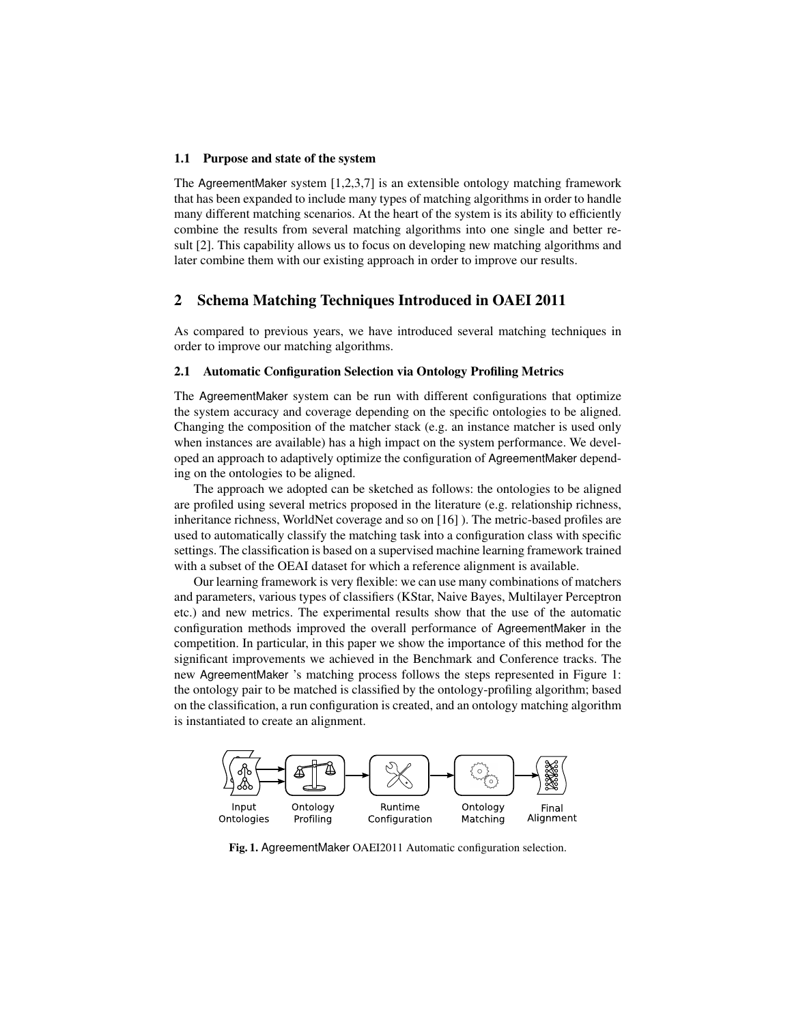#### 1.1 Purpose and state of the system

The AgreementMaker system [\[1,](#page-7-10)[2,](#page-7-11)[3](#page-7-12)[,7\]](#page-7-13) is an extensible ontology matching framework that has been expanded to include many types of matching algorithms in order to handle many different matching scenarios. At the heart of the system is its ability to efficiently combine the results from several matching algorithms into one single and better result [\[2\]](#page-7-11). This capability allows us to focus on developing new matching algorithms and later combine them with our existing approach in order to improve our results.

# 2 Schema Matching Techniques Introduced in OAEI 2011

As compared to previous years, we have introduced several matching techniques in order to improve our matching algorithms.

## <span id="page-1-1"></span>2.1 Automatic Configuration Selection via Ontology Profiling Metrics

The AgreementMaker system can be run with different configurations that optimize the system accuracy and coverage depending on the specific ontologies to be aligned. Changing the composition of the matcher stack (e.g. an instance matcher is used only when instances are available) has a high impact on the system performance. We developed an approach to adaptively optimize the configuration of AgreementMaker depending on the ontologies to be aligned.

The approach we adopted can be sketched as follows: the ontologies to be aligned are profiled using several metrics proposed in the literature (e.g. relationship richness, inheritance richness, WorldNet coverage and so on [\[16\]](#page-7-14) ). The metric-based profiles are used to automatically classify the matching task into a configuration class with specific settings. The classification is based on a supervised machine learning framework trained with a subset of the OEAI dataset for which a reference alignment is available.

Our learning framework is very flexible: we can use many combinations of matchers and parameters, various types of classifiers (KStar, Naive Bayes, Multilayer Perceptron etc.) and new metrics. The experimental results show that the use of the automatic configuration methods improved the overall performance of AgreementMaker in the competition. In particular, in this paper we show the importance of this method for the significant improvements we achieved in the Benchmark and Conference tracks. The new AgreementMaker 's matching process follows the steps represented in Figure [1:](#page-1-0) the ontology pair to be matched is classified by the ontology-profiling algorithm; based on the classification, a run configuration is created, and an ontology matching algorithm is instantiated to create an alignment.



<span id="page-1-0"></span>Fig. 1. AgreementMaker OAEI2011 Automatic configuration selection.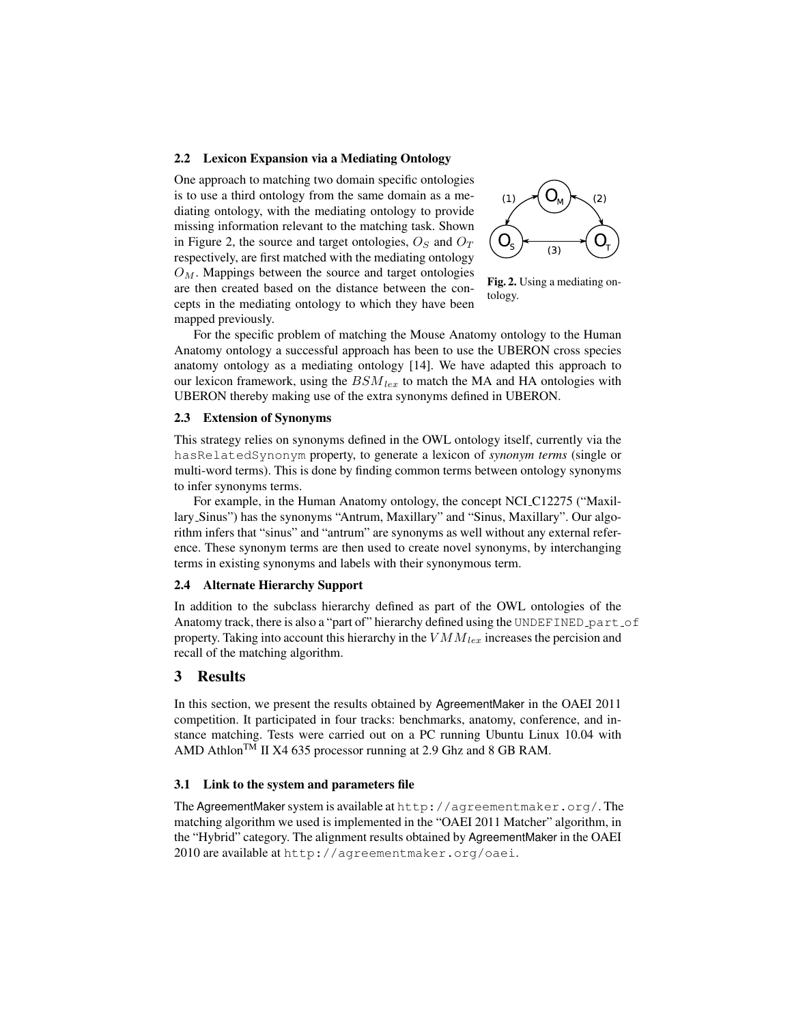## 2.2 Lexicon Expansion via a Mediating Ontology

One approach to matching two domain specific ontologies is to use a third ontology from the same domain as a mediating ontology, with the mediating ontology to provide missing information relevant to the matching task. Shown in Figure [2,](#page-2-0) the source and target ontologies,  $O<sub>S</sub>$  and  $O<sub>T</sub>$ respectively, are first matched with the mediating ontology  $O<sub>M</sub>$ . Mappings between the source and target ontologies are then created based on the distance between the concepts in the mediating ontology to which they have been mapped previously.



<span id="page-2-0"></span>Fig. 2. Using a mediating ontology.

For the specific problem of matching the Mouse Anatomy ontology to the Human Anatomy ontology a successful approach has been to use the UBERON cross species anatomy ontology as a mediating ontology [\[14\]](#page-7-15). We have adapted this approach to our lexicon framework, using the  $BSM_{lex}$  to match the MA and HA ontologies with UBERON thereby making use of the extra synonyms defined in UBERON.

#### 2.3 Extension of Synonyms

This strategy relies on synonyms defined in the OWL ontology itself, currently via the hasRelatedSynonym property, to generate a lexicon of *synonym terms* (single or multi-word terms). This is done by finding common terms between ontology synonyms to infer synonyms terms.

For example, in the Human Anatomy ontology, the concept NCI C12275 ("Maxillary Sinus") has the synonyms "Antrum, Maxillary" and "Sinus, Maxillary". Our algorithm infers that "sinus" and "antrum" are synonyms as well without any external reference. These synonym terms are then used to create novel synonyms, by interchanging terms in existing synonyms and labels with their synonymous term.

## 2.4 Alternate Hierarchy Support

In addition to the subclass hierarchy defined as part of the OWL ontologies of the Anatomy track, there is also a "part of" hierarchy defined using the UNDEFINED part of property. Taking into account this hierarchy in the  $VMM_{lex}$  increases the percision and recall of the matching algorithm.

## 3 Results

In this section, we present the results obtained by AgreementMaker in the OAEI 2011 competition. It participated in four tracks: benchmarks, anatomy, conference, and instance matching. Tests were carried out on a PC running Ubuntu Linux 10.04 with AMD Athlon<sup>TM</sup> II X4 635 processor running at 2.9 Ghz and 8 GB RAM.

#### 3.1 Link to the system and parameters file

The AgreementMaker system is available at <http://agreementmaker.org/>. The matching algorithm we used is implemented in the "OAEI 2011 Matcher" algorithm, in the "Hybrid" category. The alignment results obtained by AgreementMaker in the OAEI 2010 are available at <http://agreementmaker.org/oaei>.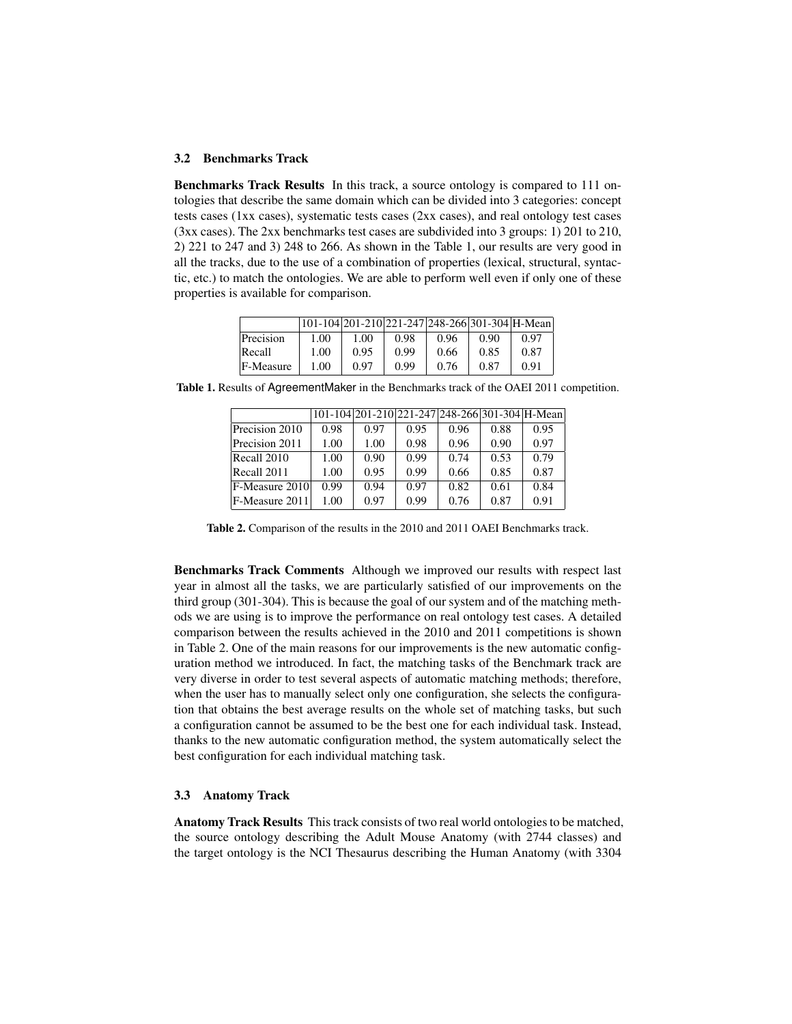## 3.2 Benchmarks Track

Benchmarks Track Results In this track, a source ontology is compared to 111 ontologies that describe the same domain which can be divided into 3 categories: concept tests cases (1xx cases), systematic tests cases (2xx cases), and real ontology test cases (3xx cases). The 2xx benchmarks test cases are subdivided into 3 groups: 1) 201 to 210, 2) 221 to 247 and 3) 248 to 266. As shown in the Table [1,](#page-3-0) our results are very good in all the tracks, due to the use of a combination of properties (lexical, structural, syntactic, etc.) to match the ontologies. We are able to perform well even if only one of these properties is available for comparison.

|           |      | 101-104  201-210  221-247  248-266  301-304  H-Mean |      |      |      |      |
|-----------|------|-----------------------------------------------------|------|------|------|------|
| Precision | 1.00 | 1.00                                                | 0.98 | 0.96 | 0.90 | 0.97 |
| Recall    | 1.00 | 0.95                                                | 0.99 | 0.66 | 0.85 | 0.87 |
| F-Measure | 1.00 | 0.97                                                | 0.99 | 0.76 | 0.87 | O 91 |

Table 1. Results of AgreementMaker in the Benchmarks track of the OAEI 2011 competition.

<span id="page-3-0"></span>

|                |      | 101-104 201-210 221-247 248-266 301-304 H-Mean |      |      |      |      |
|----------------|------|------------------------------------------------|------|------|------|------|
| Precision 2010 | 0.98 | 0.97                                           | 0.95 | 0.96 | 0.88 | 0.95 |
| Precision 2011 | 1.00 | 1.00                                           | 0.98 | 0.96 | 0.90 | 0.97 |
| Recall 2010    | 1.00 | 0.90                                           | 0.99 | 0.74 | 0.53 | 0.79 |
| Recall 2011    | 1.00 | 0.95                                           | 0.99 | 0.66 | 0.85 | 0.87 |
| F-Measure 2010 | 0.99 | 0.94                                           | 0.97 | 0.82 | 0.61 | 0.84 |
| F-Measure 2011 | 1.00 | 0.97                                           | 0.99 | 0.76 | 0.87 | 0.91 |

<span id="page-3-1"></span>Table 2. Comparison of the results in the 2010 and 2011 OAEI Benchmarks track.

Benchmarks Track Comments Although we improved our results with respect last year in almost all the tasks, we are particularly satisfied of our improvements on the third group (301-304). This is because the goal of our system and of the matching methods we are using is to improve the performance on real ontology test cases. A detailed comparison between the results achieved in the 2010 and 2011 competitions is shown in Table [2.](#page-3-1) One of the main reasons for our improvements is the new automatic configuration method we introduced. In fact, the matching tasks of the Benchmark track are very diverse in order to test several aspects of automatic matching methods; therefore, when the user has to manually select only one configuration, she selects the configuration that obtains the best average results on the whole set of matching tasks, but such a configuration cannot be assumed to be the best one for each individual task. Instead, thanks to the new automatic configuration method, the system automatically select the best configuration for each individual matching task.

## 3.3 Anatomy Track

Anatomy Track Results This track consists of two real world ontologies to be matched, the source ontology describing the Adult Mouse Anatomy (with 2744 classes) and the target ontology is the NCI Thesaurus describing the Human Anatomy (with 3304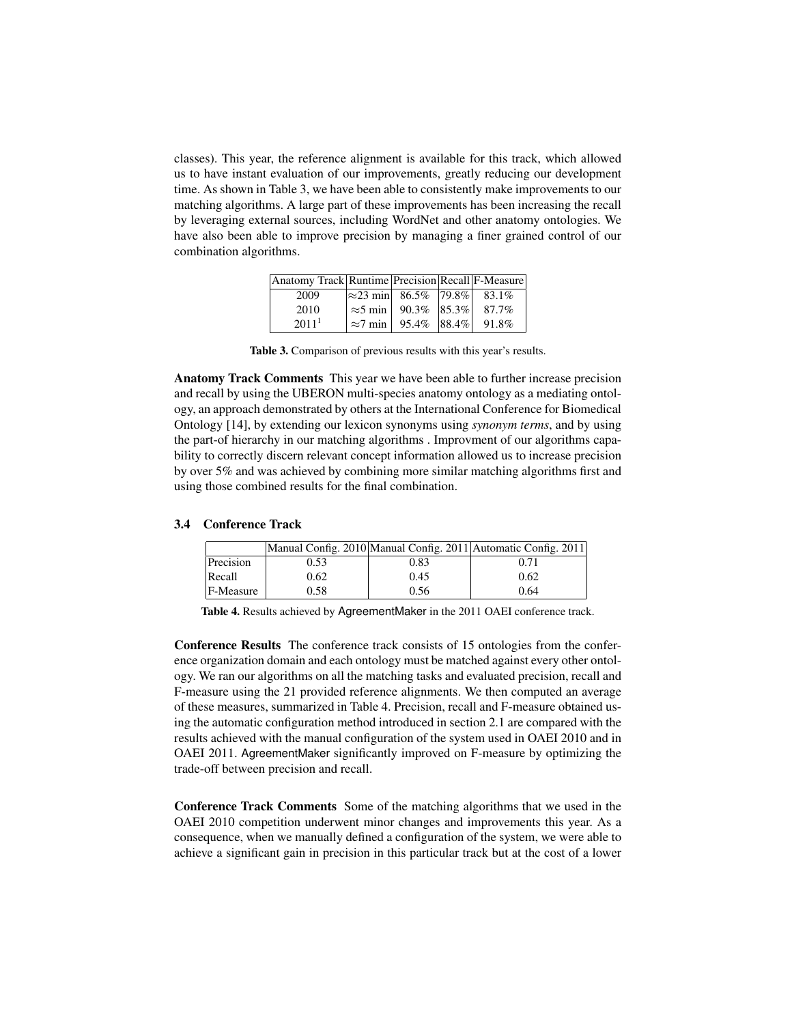classes). This year, the reference alignment is available for this track, which allowed us to have instant evaluation of our improvements, greatly reducing our development time. As shown in Table [3,](#page-4-0) we have been able to consistently make improvements to our matching algorithms. A large part of these improvements has been increasing the recall by leveraging external sources, including WordNet and other anatomy ontologies. We have also been able to improve precision by managing a finer grained control of our combination algorithms.

| Anatomy Track   Runtime   Precision   Recall   F-Measure |                                         |  |
|----------------------------------------------------------|-----------------------------------------|--|
| 2009                                                     | $ \approx 23$ min 86.5%   79.8%   83.1% |  |
| 2010                                                     | $\approx$ 5 min   90.3%   85.3%   87.7% |  |
| 2011 <sup>1</sup>                                        | $\approx$ 7 min   95.4%   88.4%   91.8% |  |

<span id="page-4-0"></span>Table 3. Comparison of previous results with this year's results.

Anatomy Track Comments This year we have been able to further increase precision and recall by using the UBERON multi-species anatomy ontology as a mediating ontology, an approach demonstrated by others at the International Conference for Biomedical Ontology [\[14\]](#page-7-15), by extending our lexicon synonyms using *synonym terms*, and by using the part-of hierarchy in our matching algorithms . Improvment of our algorithms capability to correctly discern relevant concept information allowed us to increase precision by over 5% and was achieved by combining more similar matching algorithms first and using those combined results for the final combination.

#### 3.4 Conference Track

|           |      |      | Manual Config. 2010 Manual Config. 2011 Automatic Config. 2011 |
|-----------|------|------|----------------------------------------------------------------|
| Precision | 0.53 | 0.83 | 0.71                                                           |
| Recall    | 0.62 | 0.45 | 0.62                                                           |
| F-Measure | 0.58 | 0.56 | 0.64                                                           |

<span id="page-4-1"></span>Table 4. Results achieved by AgreementMaker in the 2011 OAEI conference track.

Conference Results The conference track consists of 15 ontologies from the conference organization domain and each ontology must be matched against every other ontology. We ran our algorithms on all the matching tasks and evaluated precision, recall and F-measure using the 21 provided reference alignments. We then computed an average of these measures, summarized in Table [4.](#page-4-1) Precision, recall and F-measure obtained using the automatic configuration method introduced in section [2.1](#page-1-1) are compared with the results achieved with the manual configuration of the system used in OAEI 2010 and in OAEI 2011. AgreementMaker significantly improved on F-measure by optimizing the trade-off between precision and recall.

Conference Track Comments Some of the matching algorithms that we used in the OAEI 2010 competition underwent minor changes and improvements this year. As a consequence, when we manually defined a configuration of the system, we were able to achieve a significant gain in precision in this particular track but at the cost of a lower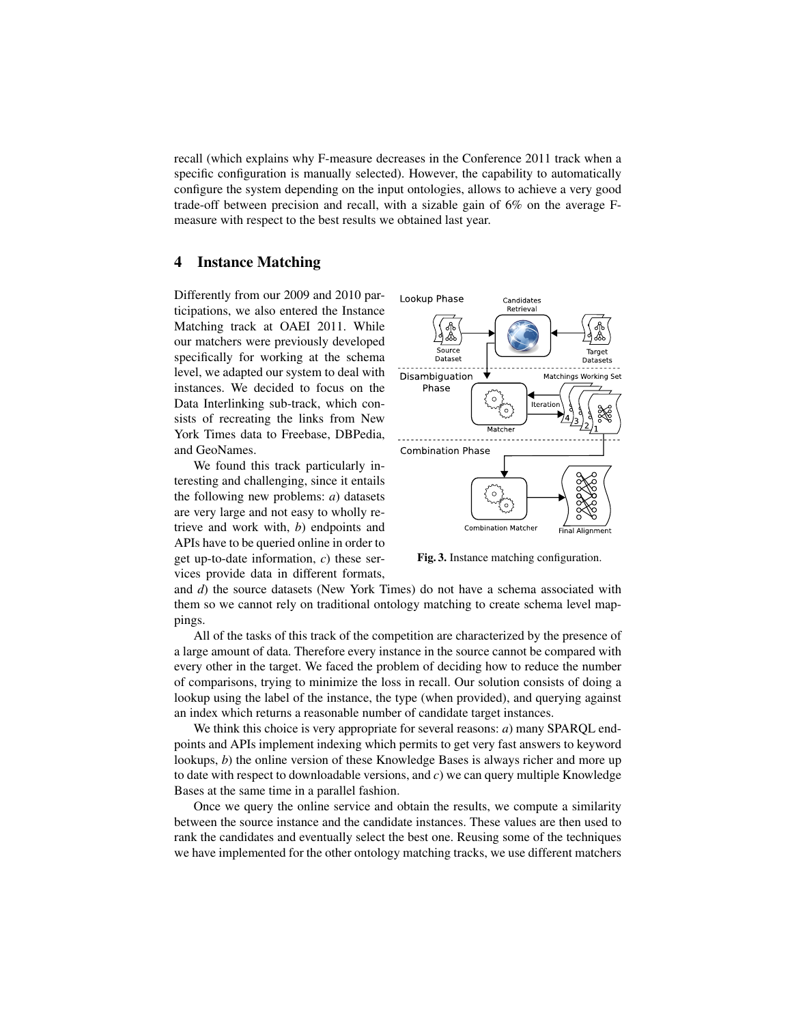recall (which explains why F-measure decreases in the Conference 2011 track when a specific configuration is manually selected). However, the capability to automatically configure the system depending on the input ontologies, allows to achieve a very good trade-off between precision and recall, with a sizable gain of 6% on the average Fmeasure with respect to the best results we obtained last year.

# 4 Instance Matching

Differently from our 2009 and 2010 participations, we also entered the Instance Matching track at OAEI 2011. While our matchers were previously developed specifically for working at the schema level, we adapted our system to deal with instances. We decided to focus on the Data Interlinking sub-track, which consists of recreating the links from New York Times data to Freebase, DBPedia, and GeoNames.

We found this track particularly interesting and challenging, since it entails the following new problems: *a*) datasets are very large and not easy to wholly retrieve and work with, *b*) endpoints and APIs have to be queried online in order to get up-to-date information, *c*) these services provide data in different formats,



Fig. 3. Instance matching configuration.

and *d*) the source datasets (New York Times) do not have a schema associated with them so we cannot rely on traditional ontology matching to create schema level mappings.

All of the tasks of this track of the competition are characterized by the presence of a large amount of data. Therefore every instance in the source cannot be compared with every other in the target. We faced the problem of deciding how to reduce the number of comparisons, trying to minimize the loss in recall. Our solution consists of doing a lookup using the label of the instance, the type (when provided), and querying against an index which returns a reasonable number of candidate target instances.

We think this choice is very appropriate for several reasons: *a*) many SPARQL endpoints and APIs implement indexing which permits to get very fast answers to keyword lookups, *b*) the online version of these Knowledge Bases is always richer and more up to date with respect to downloadable versions, and *c*) we can query multiple Knowledge Bases at the same time in a parallel fashion.

Once we query the online service and obtain the results, we compute a similarity between the source instance and the candidate instances. These values are then used to rank the candidates and eventually select the best one. Reusing some of the techniques we have implemented for the other ontology matching tracks, we use different matchers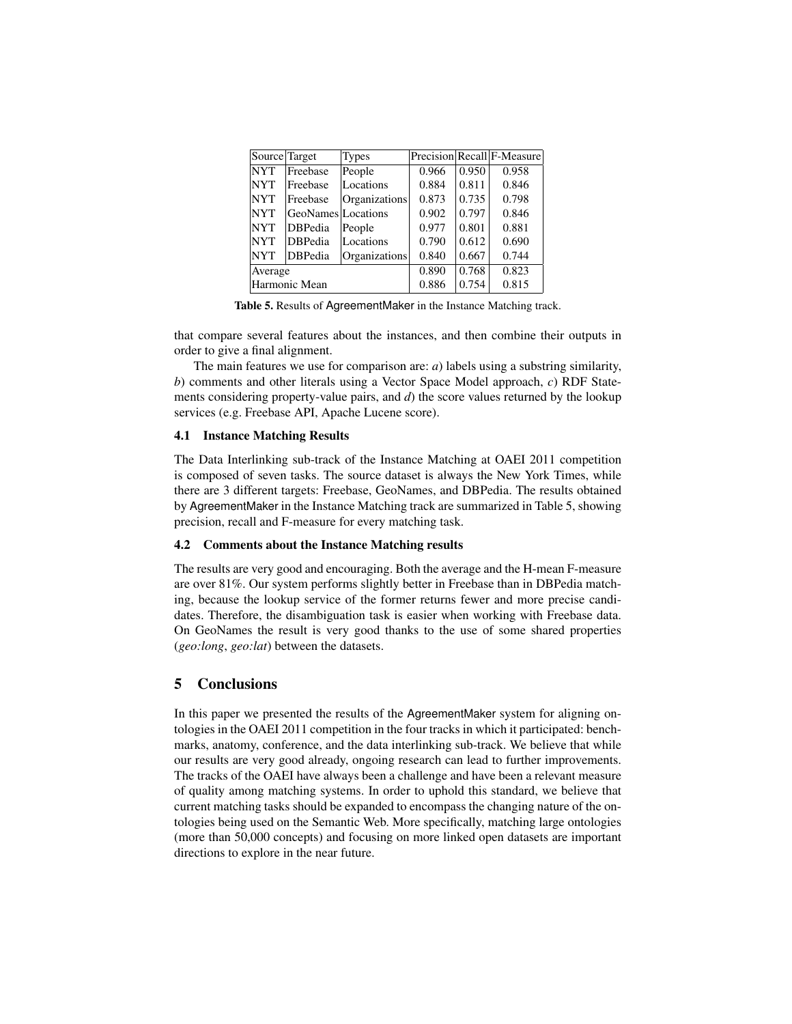| Source Target |                    | <b>Types</b>  |       |       | Precision Recall F-Measure |
|---------------|--------------------|---------------|-------|-------|----------------------------|
| <b>NYT</b>    | Freebase           | People        | 0.966 | 0.950 | 0.958                      |
| <b>NYT</b>    | Freebase           | Locations     | 0.884 | 0.811 | 0.846                      |
| <b>NYT</b>    | Freebase           | Organizations | 0.873 | 0.735 | 0.798                      |
| <b>NYT</b>    | GeoNames Locations |               | 0.902 | 0.797 | 0.846                      |
| <b>NYT</b>    | <b>DBPedia</b>     | People        | 0.977 | 0.801 | 0.881                      |
| <b>NYT</b>    | <b>DBPedia</b>     | Locations     | 0.790 | 0.612 | 0.690                      |
| <b>NYT</b>    | <b>DBPedia</b>     | Organizations | 0.840 | 0.667 | 0.744                      |
| Average       |                    |               | 0.890 | 0.768 | 0.823                      |
| Harmonic Mean |                    |               | 0.886 | 0.754 | 0.815                      |

<span id="page-6-0"></span>Table 5. Results of AgreementMaker in the Instance Matching track.

that compare several features about the instances, and then combine their outputs in order to give a final alignment.

The main features we use for comparison are: *a*) labels using a substring similarity, *b*) comments and other literals using a Vector Space Model approach, *c*) RDF Statements considering property-value pairs, and *d*) the score values returned by the lookup services (e.g. Freebase API, Apache Lucene score).

### 4.1 Instance Matching Results

The Data Interlinking sub-track of the Instance Matching at OAEI 2011 competition is composed of seven tasks. The source dataset is always the New York Times, while there are 3 different targets: Freebase, GeoNames, and DBPedia. The results obtained by AgreementMaker in the Instance Matching track are summarized in Table [5,](#page-6-0) showing precision, recall and F-measure for every matching task.

#### 4.2 Comments about the Instance Matching results

The results are very good and encouraging. Both the average and the H-mean F-measure are over 81%. Our system performs slightly better in Freebase than in DBPedia matching, because the lookup service of the former returns fewer and more precise candidates. Therefore, the disambiguation task is easier when working with Freebase data. On GeoNames the result is very good thanks to the use of some shared properties (*geo:long*, *geo:lat*) between the datasets.

# 5 Conclusions

In this paper we presented the results of the AgreementMaker system for aligning ontologies in the OAEI 2011 competition in the four tracks in which it participated: benchmarks, anatomy, conference, and the data interlinking sub-track. We believe that while our results are very good already, ongoing research can lead to further improvements. The tracks of the OAEI have always been a challenge and have been a relevant measure of quality among matching systems. In order to uphold this standard, we believe that current matching tasks should be expanded to encompass the changing nature of the ontologies being used on the Semantic Web. More specifically, matching large ontologies (more than 50,000 concepts) and focusing on more linked open datasets are important directions to explore in the near future.